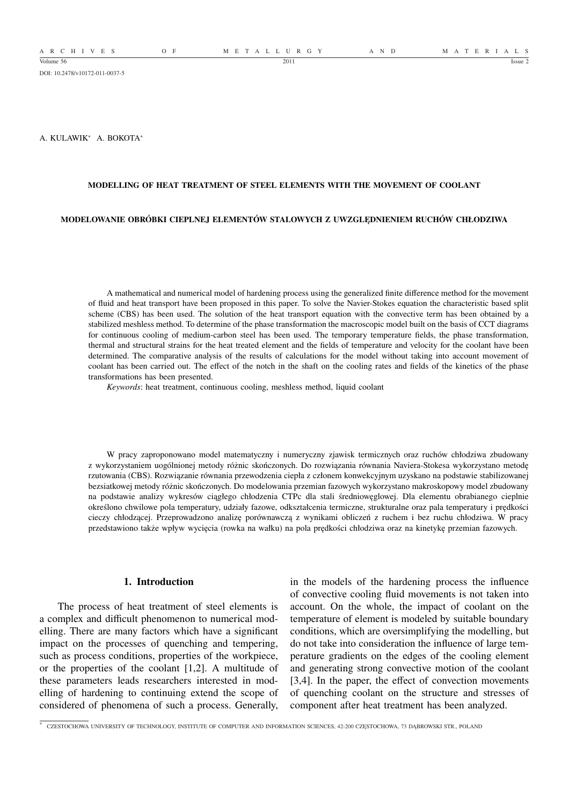DOI: 10.2478/v10172-011-0037-5

A. KULAWIK<sup>∗</sup> A. BOKOTA<sup>∗</sup>

#### **MODELLING OF HEAT TREATMENT OF STEEL ELEMENTS WITH THE MOVEMENT OF COOLANT**

#### **MODELOWANIE OBRÓBKI CIEPLNEJ ELEMENTÓW STALOWYCH Z UWZGLĘDNIENIEM RUCHÓW CHŁODZIWA**

A mathematical and numerical model of hardening process using the generalized finite difference method for the movement of fluid and heat transport have been proposed in this paper. To solve the Navier-Stokes equation the characteristic based split scheme (CBS) has been used. The solution of the heat transport equation with the convective term has been obtained by a stabilized meshless method. To determine of the phase transformation the macroscopic model built on the basis of CCT diagrams for continuous cooling of medium-carbon steel has been used. The temporary temperature fields, the phase transformation, thermal and structural strains for the heat treated element and the fields of temperature and velocity for the coolant have been determined. The comparative analysis of the results of calculations for the model without taking into account movement of coolant has been carried out. The effect of the notch in the shaft on the cooling rates and fields of the kinetics of the phase transformations has been presented.

*Keywords*: heat treatment, continuous cooling, meshless method, liquid coolant

W pracy zaproponowano model matematyczny i numeryczny zjawisk termicznych oraz ruchów chłodziwa zbudowany z wykorzystaniem uogólnionej metody różnic skończonych. Do rozwiązania równania Naviera-Stokesa wykorzystano metodę rzutowania (CBS). Rozwiązanie równania przewodzenia ciepła z członem konwekcyjnym uzyskano na podstawie stabilizowanej bezsiatkowej metody różnic skończonych. Do modelowania przemian fazowych wykorzystano makroskopowy model zbudowany na podstawie analizy wykresów ciągłego chłodzenia CTPc dla stali średniowęglowej. Dla elementu obrabianego cieplnie określono chwilowe pola temperatury, udziały fazowe, odkształcenia termiczne, strukturalne oraz pala temperatury i prędkości cieczy chłodzącej. Przeprowadzono analizę porównawczą z wynikami obliczeń z ruchem i bez ruchu chłodziwa. W pracy przedstawiono także wpływ wycięcia (rowka na wałku) na pola prędkości chłodziwa oraz na kinetykę przemian fazowych.

## **1. Introduction**

The process of heat treatment of steel elements is a complex and difficult phenomenon to numerical modelling. There are many factors which have a significant impact on the processes of quenching and tempering, such as process conditions, properties of the workpiece, or the properties of the coolant [1,2]. A multitude of these parameters leads researchers interested in modelling of hardening to continuing extend the scope of considered of phenomena of such a process. Generally,

in the models of the hardening process the influence of convective cooling fluid movements is not taken into account. On the whole, the impact of coolant on the temperature of element is modeled by suitable boundary conditions, which are oversimplifying the modelling, but do not take into consideration the influence of large temperature gradients on the edges of the cooling element and generating strong convective motion of the coolant [3,4]. In the paper, the effect of convection movements of quenching coolant on the structure and stresses of component after heat treatment has been analyzed.

∗ CZESTOCHOWA UNIVERSITY OF TECHNOLOGY, INSTITUTE OF COMPUTER AND INFORMATION SCIENCES, 42-200 CZĘSTOCHOWA, 73 DĄBROWSKI STR., POLAND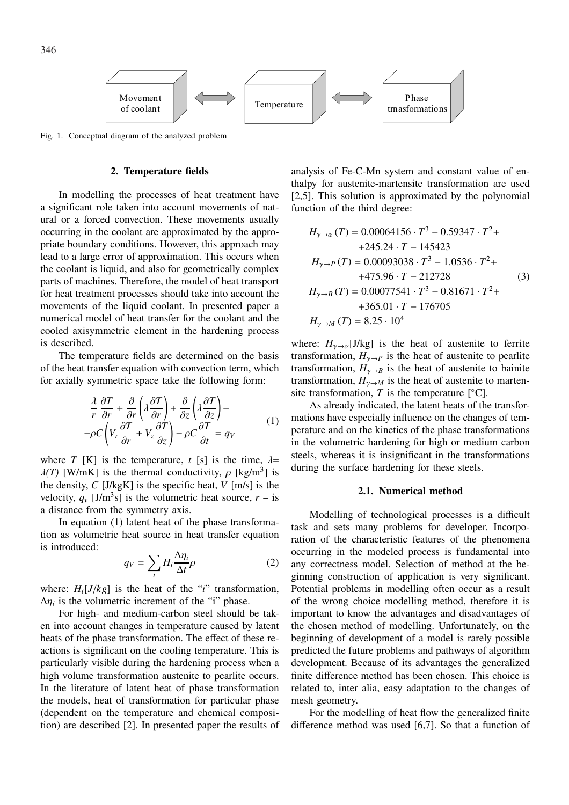

Fig. 1. Conceptual diagram of the analyzed problem

### **2. Temperature fields**

In modelling the processes of heat treatment have a significant role taken into account movements of natural or a forced convection. These movements usually occurring in the coolant are approximated by the appropriate boundary conditions. However, this approach may lead to a large error of approximation. This occurs when the coolant is liquid, and also for geometrically complex parts of machines. Therefore, the model of heat transport for heat treatment processes should take into account the movements of the liquid coolant. In presented paper a numerical model of heat transfer for the coolant and the cooled axisymmetric element in the hardening process is described.

The temperature fields are determined on the basis of the heat transfer equation with convection term, which for axially symmetric space take the following form:

$$
\frac{\lambda}{r} \frac{\partial T}{\partial r} + \frac{\partial}{\partial r} \left( \lambda \frac{\partial T}{\partial r} \right) + \frac{\partial}{\partial z} \left( \lambda \frac{\partial T}{\partial z} \right) -
$$
\n
$$
-\rho C \left( V_r \frac{\partial T}{\partial r} + V_z \frac{\partial T}{\partial z} \right) - \rho C \frac{\partial T}{\partial t} = q_V
$$
\n(1)

where *T* [K] is the temperature, *t* [s] is the time,  $\lambda =$  $\lambda(T)$  [W/mK] is the thermal conductivity,  $\rho$  [kg/m<sup>3</sup>] is the density, *C* [J/kgK] is the specific heat, *V* [m/s] is the velocity,  $q_v$  [J/m<sup>3</sup>s] is the volumetric heat source,  $r -$  is a distance from the symmetry axis.

In equation (1) latent heat of the phase transformation as volumetric heat source in heat transfer equation is introduced:  $\overline{a}$ 

$$
q_V = \sum_i H_i \frac{\Delta \eta_i}{\Delta t} \rho \tag{2}
$$

where:  $H_i[J/kg]$  is the heat of the "*i*" transformation,  $\Delta \eta_i$  is the volumetric increment of the "i" phase.

For high- and medium-carbon steel should be taken into account changes in temperature caused by latent heats of the phase transformation. The effect of these reactions is significant on the cooling temperature. This is particularly visible during the hardening process when a high volume transformation austenite to pearlite occurs. In the literature of latent heat of phase transformation the models, heat of transformation for particular phase (dependent on the temperature and chemical composition) are described [2]. In presented paper the results of

analysis of Fe-C-Mn system and constant value of enthalpy for austenite-martensite transformation are used [2,5]. This solution is approximated by the polynomial function of the third degree:

$$
H_{\gamma \to \alpha} (T) = 0.00064156 \cdot T^3 - 0.59347 \cdot T^2 ++ 245.24 \cdot T - 145423
$$
  

$$
H_{\gamma \to P} (T) = 0.00093038 \cdot T^3 - 1.0536 \cdot T^2 ++ 475.96 \cdot T - 212728
$$
(3)  

$$
H_{\gamma \to B} (T) = 0.00077541 \cdot T^3 - 0.81671 \cdot T^2 ++ 365.01 \cdot T - 176705
$$
  

$$
H_{\gamma \to M} (T) = 8.25 \cdot 10^4
$$

where:  $H_{\gamma \to \alpha}[J/kg]$  is the heat of austenite to ferrite transformation,  $H_{\gamma \to P}$  is the heat of austenite to pearlite transformation,  $H_{\gamma \to B}$  is the heat of austenite to bainite transformation,  $H_{\gamma \to M}$  is the heat of austenite to martensite transformation,  $T$  is the temperature  $[°C]$ .

As already indicated, the latent heats of the transformations have especially influence on the changes of temperature and on the kinetics of the phase transformations in the volumetric hardening for high or medium carbon steels, whereas it is insignificant in the transformations during the surface hardening for these steels.

#### **2.1. Numerical method**

Modelling of technological processes is a difficult task and sets many problems for developer. Incorporation of the characteristic features of the phenomena occurring in the modeled process is fundamental into any correctness model. Selection of method at the beginning construction of application is very significant. Potential problems in modelling often occur as a result of the wrong choice modelling method, therefore it is important to know the advantages and disadvantages of the chosen method of modelling. Unfortunately, on the beginning of development of a model is rarely possible predicted the future problems and pathways of algorithm development. Because of its advantages the generalized finite difference method has been chosen. This choice is related to, inter alia, easy adaptation to the changes of mesh geometry.

For the modelling of heat flow the generalized finite difference method was used [6,7]. So that a function of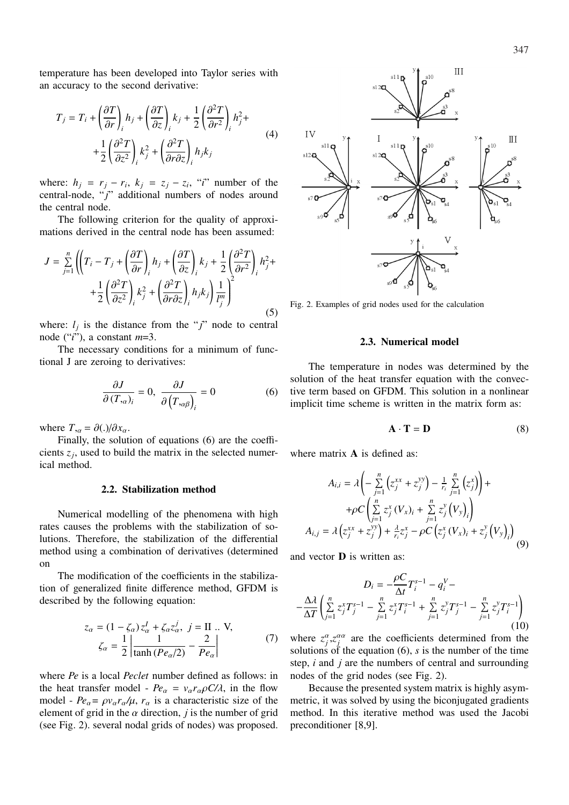temperature has been developed into Taylor series with an accuracy to the second derivative:

$$
T_j = T_i + \left(\frac{\partial T}{\partial r}\right)_i h_j + \left(\frac{\partial T}{\partial z}\right)_i k_j + \frac{1}{2} \left(\frac{\partial^2 T}{\partial r^2}\right)_i h_j^2 +
$$
  
+ 
$$
\frac{1}{2} \left(\frac{\partial^2 T}{\partial z^2}\right)_i k_j^2 + \left(\frac{\partial^2 T}{\partial r \partial z}\right)_i h_j k_j
$$
(4)

where:  $h_j = r_j - r_i$ ,  $k_j = z_j - z_i$ , "*i*" number of the central-node, "*j*" additional numbers of nodes around the central node.

The following criterion for the quality of approximations derived in the central node has been assumed:

$$
J = \sum_{j=1}^{n} \left( \left( T_i - T_j + \left( \frac{\partial T}{\partial r} \right)_i h_j + \left( \frac{\partial T}{\partial z} \right)_i k_j + \frac{1}{2} \left( \frac{\partial^2 T}{\partial r^2} \right)_i h_j^2 + \right. \\ \left. + \frac{1}{2} \left( \frac{\partial^2 T}{\partial z^2} \right)_i k_j^2 + \left( \frac{\partial^2 T}{\partial r \partial z} \right)_i h_j k_j \right) \frac{1}{l_j^m} \right)^2 \tag{5}
$$

where:  $l_j$  is the distance from the " $j$ " node to central node ("*i*"), a constant *m*=3.

The necessary conditions for a minimum of functional J are zeroing to derivatives:

$$
\frac{\partial J}{\partial (T_{,\alpha})_i} = 0, \ \frac{\partial J}{\partial (T_{,\alpha\beta})_i} = 0 \tag{6}
$$

where  $T_{,\alpha} = \partial(.)/\partial x_{\alpha}$ .

Finally, the solution of equations (6) are the coefficients  $z_j$ , used to build the matrix in the selected numerical method.

### **2.2. Stabilization method**

Numerical modelling of the phenomena with high rates causes the problems with the stabilization of solutions. Therefore, the stabilization of the differential method using a combination of derivatives (determined on

The modification of the coefficients in the stabilization of generalized finite difference method, GFDM is described by the following equation:

$$
z_{\alpha} = (1 - \zeta_{\alpha}) z_{\alpha}^{I} + \zeta_{\alpha} z_{\alpha}^{j}, \quad j = \text{II} \dots \text{V},
$$

$$
\zeta_{\alpha} = \frac{1}{2} \left| \frac{1}{\tanh (Pe_{\alpha}/2)} - \frac{2}{Pe_{\alpha}} \right| \tag{7}
$$

where *Pe* is a local *Peclet* number defined as follows: in the heat transfer model -  $Pe_\alpha = v_\alpha r_\alpha \rho C/\lambda$ , in the flow model -  $Pe_{\alpha} = \rho v_{\alpha} r_{\alpha}/\mu$ ,  $r_{\alpha}$  is a characteristic size of the element of grid in the  $\alpha$  direction, *j* is the number of grid (see Fig. 2). several nodal grids of nodes) was proposed.



Fig. 2. Examples of grid nodes used for the calculation

### **2.3. Numerical model**

The temperature in nodes was determined by the solution of the heat transfer equation with the convective term based on GFDM. This solution in a nonlinear implicit time scheme is written in the matrix form as:

$$
\mathbf{A} \cdot \mathbf{T} = \mathbf{D} \tag{8}
$$

where matrix **A** is defined as:

$$
A_{i,i} = \lambda \left( -\sum_{j=1}^{n} \left( z_j^{xx} + z_j^{yy} \right) - \frac{1}{r_i} \sum_{j=1}^{n} \left( z_j^{x} \right) \right) + + \rho C \left( \sum_{j=1}^{n} z_j^{x} \left( V_x \right)_i + \sum_{j=1}^{n} z_j^{y} \left( V_y \right)_i \right) A_{i,j} = \lambda \left( z_j^{xx} + z_j^{yy} \right) + \frac{\lambda}{r_i} z_j^{x} - \rho C \left( z_j^{x} \left( V_x \right)_i + z_j^{y} \left( V_y \right)_i \right)
$$
(9)

and vector **D** is written as:

$$
D_{i} = -\frac{\rho C}{\Delta t} T_{i}^{s-1} - q_{i}^{V} -
$$
  

$$
-\frac{\Delta \lambda}{\Delta T} \left( \sum_{j=1}^{n} z_{j}^{x} T_{j}^{s-1} - \sum_{j=1}^{n} z_{j}^{x} T_{i}^{s-1} + \sum_{j=1}^{n} z_{j}^{y} T_{j}^{s-1} - \sum_{j=1}^{n} z_{j}^{y} T_{i}^{s-1} \right)
$$
(10)

where  $z_j^{\alpha}$ , $z_j^{\alpha\alpha}$  are the coefficients determined from the solutions of the equation (6), *s* is the number of the time step, *i* and *j* are the numbers of central and surrounding nodes of the grid nodes (see Fig. 2).

Because the presented system matrix is highly asymmetric, it was solved by using the biconjugated gradients method. In this iterative method was used the Jacobi preconditioner [8,9].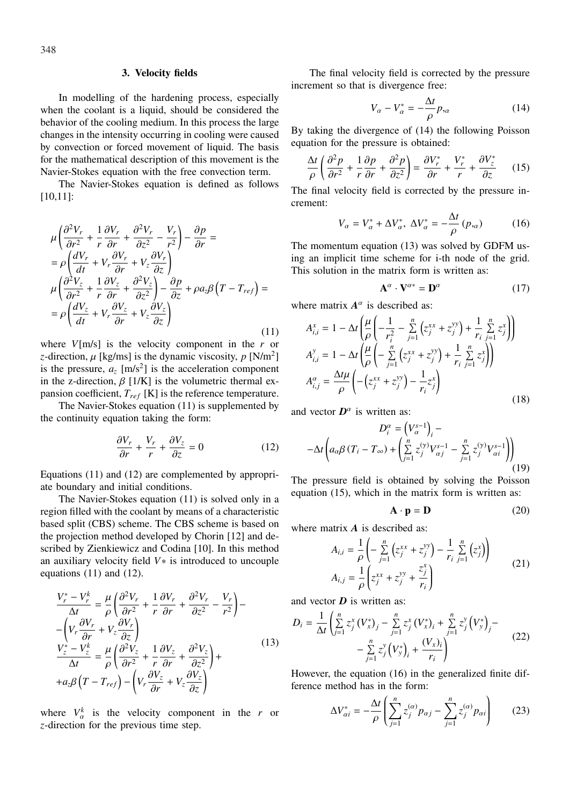### **3. Velocity fields**

In modelling of the hardening process, especially when the coolant is a liquid, should be considered the behavior of the cooling medium. In this process the large changes in the intensity occurring in cooling were caused by convection or forced movement of liquid. The basis for the mathematical description of this movement is the Navier-Stokes equation with the free convection term.

The Navier-Stokes equation is defined as follows [10,11]:

$$
\mu \left( \frac{\partial^2 V_r}{\partial r^2} + \frac{1}{r} \frac{\partial V_r}{\partial r} + \frac{\partial^2 V_r}{\partial z^2} - \frac{V_r}{r^2} \right) - \frac{\partial p}{\partial r} =
$$
\n
$$
= \rho \left( \frac{dV_r}{dt} + V_r \frac{\partial V_r}{\partial r} + V_z \frac{\partial V_r}{\partial z} \right)
$$
\n
$$
\mu \left( \frac{\partial^2 V_z}{\partial r^2} + \frac{1}{r} \frac{\partial V_z}{\partial r} + \frac{\partial^2 V_z}{\partial z^2} \right) - \frac{\partial p}{\partial z} + \rho a_z \beta \left( T - T_{ref} \right) =
$$
\n
$$
= \rho \left( \frac{dV_z}{dt} + V_r \frac{\partial V_z}{\partial r} + V_z \frac{\partial V_z}{\partial z} \right)
$$
\n(11)

where *V*[m/s] is the velocity component in the *r* or *z*-direction,  $\mu$  [kg/ms] is the dynamic viscosity,  $p$  [N/m<sup>2</sup>] is the pressure,  $a_z$  [m/s<sup>2</sup>] is the acceleration component in the z-direction,  $\beta$  [1/K] is the volumetric thermal expansion coefficient, *Tref* [K] is the reference temperature.

The Navier-Stokes equation (11) is supplemented by the continuity equation taking the form:

$$
\frac{\partial V_r}{\partial r} + \frac{V_r}{r} + \frac{\partial V_z}{\partial z} = 0 \tag{12}
$$

Equations (11) and (12) are complemented by appropriate boundary and initial conditions.

The Navier-Stokes equation (11) is solved only in a region filled with the coolant by means of a characteristic based split (CBS) scheme. The CBS scheme is based on the projection method developed by Chorin [12] and described by Zienkiewicz and Codina [10]. In this method an auxiliary velocity field *V*∗ is introduced to uncouple equations (11) and (12).

$$
\frac{V_r^* - V_r^k}{\Delta t} = \frac{\mu}{\rho} \left( \frac{\partial^2 V_r}{\partial r^2} + \frac{1}{r} \frac{\partial V_r}{\partial r} + \frac{\partial^2 V_r}{\partial z^2} - \frac{V_r}{r^2} \right) -
$$

$$
- \left( V_r \frac{\partial V_r}{\partial r} + V_z \frac{\partial V_r}{\partial z} \right)
$$

$$
\frac{V_z^* - V_z^k}{\Delta t} = \frac{\mu}{\rho} \left( \frac{\partial^2 V_z}{\partial r^2} + \frac{1}{r} \frac{\partial V_z}{\partial r} + \frac{\partial^2 V_z}{\partial z^2} \right) +
$$

$$
+ a_z \beta \left( T - T_{ref} \right) - \left( V_r \frac{\partial V_z}{\partial r} + V_z \frac{\partial V_z}{\partial z} \right)
$$
(13)

where  $V_{\alpha}^{k}$  is the velocity component in the *r* or *z*-direction for the previous time step.

The final velocity field is corrected by the pressure increment so that is divergence free:

$$
V_{\alpha} - V_{\alpha}^* = -\frac{\Delta t}{\rho} p_{,\alpha} \tag{14}
$$

By taking the divergence of (14) the following Poisson equation for the pressure is obtained:

$$
\frac{\Delta t}{\rho} \left( \frac{\partial^2 p}{\partial r^2} + \frac{1}{r} \frac{\partial p}{\partial r} + \frac{\partial^2 p}{\partial z^2} \right) = \frac{\partial V_r^*}{\partial r} + \frac{V_r^*}{r} + \frac{\partial V_z^*}{\partial z} \qquad (15)
$$

The final velocity field is corrected by the pressure increment:

$$
V_{\alpha} = V_{\alpha}^* + \Delta V_{\alpha}^*, \ \Delta V_{\alpha}^* = -\frac{\Delta t}{\rho} (p_{,\alpha}) \tag{16}
$$

The momentum equation (13) was solved by GDFM using an implicit time scheme for i-th node of the grid. This solution in the matrix form is written as:

$$
\mathbf{A}^{\alpha} \cdot \mathbf{V}^{\alpha*} = \mathbf{D}^{\alpha} \tag{17}
$$

where matrix  $A^{\alpha}$  is described as:

$$
A_{i,i}^{x} = 1 - \Delta t \left( \frac{\mu}{\rho} \left( -\frac{1}{r_i^2} - \sum_{j=1}^{n} \left( z_j^{xx} + z_j^{yy} \right) + \frac{1}{r_i} \sum_{j=1}^{n} z_j^{x} \right) \right)
$$
  
\n
$$
A_{i,i}^{y} = 1 - \Delta t \left( \frac{\mu}{\rho} \left( -\sum_{j=1}^{n} \left( z_j^{xx} + z_j^{yy} \right) + \frac{1}{r_i} \sum_{j=1}^{n} z_j^{x} \right) \right)
$$
  
\n
$$
A_{i,j}^{\alpha} = \frac{\Delta t \mu}{\rho} \left( -\left( z_j^{xx} + z_j^{yy} \right) - \frac{1}{r_i} z_j^{x} \right)
$$
\n(18)

and vector  $D^{\alpha}$  is written as:

$$
D_i^{\alpha} = (V_{\alpha}^{s-1})_i -
$$
  
- $\Delta t \left( a_{\alpha} \beta (T_i - T_{\infty}) + \left( \sum_{j=1}^n z_j^{(\gamma)} V_{\alpha j}^{s-1} - \sum_{j=1}^n z_j^{(\gamma)} V_{\alpha i}^{s-1} \right) \right)$  (19)

The pressure field is obtained by solving the Poisson equation (15), which in the matrix form is written as:

$$
\mathbf{A} \cdot \mathbf{p} = \mathbf{D} \tag{20}
$$

where matrix  $\vec{A}$  is described as:

$$
A_{i,i} = \frac{1}{\rho} \left( -\sum_{j=1}^{n} \left( z_j^{xx} + z_j^{yy} \right) - \frac{1}{r_i} \sum_{j=1}^{n} \left( z_j^{x} \right) \right)
$$
  

$$
A_{i,j} = \frac{1}{\rho} \left( z_j^{xx} + z_j^{yy} + \frac{z_j^{x}}{r_i} \right)
$$
 (21)

and vector  $\boldsymbol{D}$  is written as:

$$
D_{i} = \frac{1}{\Delta t} \left( \sum_{j=1}^{n} z_{j}^{x} (V_{x}^{*})_{j} - \sum_{j=1}^{n} z_{j}^{x} (V_{x}^{*})_{i} + \sum_{j=1}^{n} z_{j}^{y} (V_{y}^{*})_{j} - \sum_{j=1}^{n} z_{j}^{y} (V_{y}^{*})_{i} + \frac{(V_{x})_{i}}{r_{i}} \right)
$$
(22)

However, the equation (16) in the generalized finite difference method has in the form:  $\overline{a}$ 

$$
\Delta V_{\alpha i}^{*} = -\frac{\Delta t}{\rho} \left( \sum_{j=1}^{n} z_{j}^{(\alpha)} p_{\alpha j} - \sum_{j=1}^{n} z_{j}^{(\alpha)} p_{\alpha i} \right) \tag{23}
$$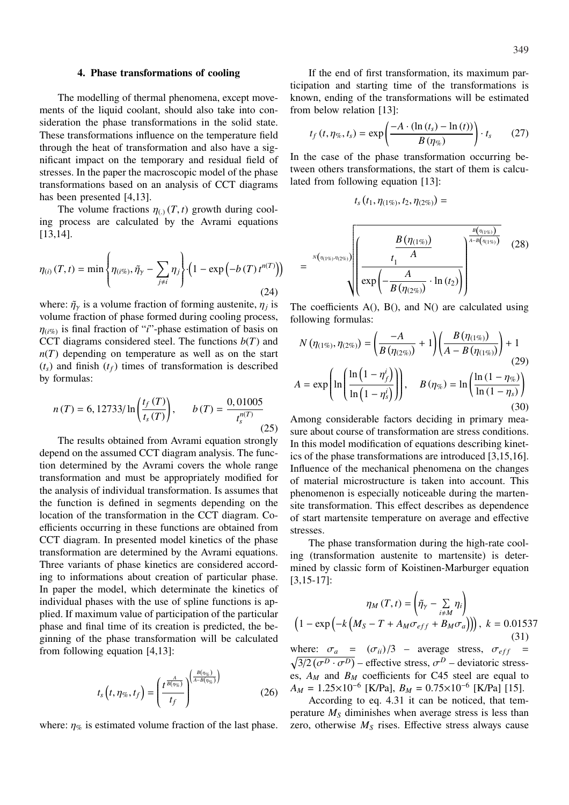#### **4. Phase transformations of cooling**

The modelling of thermal phenomena, except movements of the liquid coolant, should also take into consideration the phase transformations in the solid state. These transformations influence on the temperature field through the heat of transformation and also have a significant impact on the temporary and residual field of stresses. In the paper the macroscopic model of the phase transformations based on an analysis of CCT diagrams has been presented [4,13].

The volume fractions  $\eta_{(.)}(T, t)$  growth during cooling process are calculated by the Avrami equations [13,14].

$$
\eta_{(i)}(T,t) = \min\left\{\eta_{(i\%)}, \tilde{\eta}_{\gamma} - \sum_{j\neq i} \eta_j\right\} \left(1 - \exp\left(-b(T) t^{n(T)}\right)\right) \tag{24}
$$

where:  $\tilde{\eta}_{\gamma}$  is a volume fraction of forming austenite,  $\eta_j$  is volume fraction of phase formed during cooling process,  $\eta_{(i\%)}$  is final fraction of "*i*"-phase estimation of basis on CCT diagrams considered steel. The functions  $b(T)$  and  $n(T)$  depending on temperature as well as on the start  $(t<sub>s</sub>)$  and finish  $(t<sub>f</sub>)$  times of transformation is described by formulas:

$$
n(T) = 6, \frac{12733}{\ln\left(\frac{t_f(T)}{t_s(T)}\right)}, \qquad b(T) = \frac{0,01005}{t_s^{n(T)}}\tag{25}
$$

The results obtained from Avrami equation strongly depend on the assumed CCT diagram analysis. The function determined by the Avrami covers the whole range transformation and must be appropriately modified for the analysis of individual transformation. Is assumes that the function is defined in segments depending on the location of the transformation in the CCT diagram. Coefficients occurring in these functions are obtained from CCT diagram. In presented model kinetics of the phase transformation are determined by the Avrami equations. Three variants of phase kinetics are considered according to informations about creation of particular phase. In paper the model, which determinate the kinetics of individual phases with the use of spline functions is applied. If maximum value of participation of the particular phase and final time of its creation is predicted, the beginning of the phase transformation will be calculated from following equation [4,13]:

$$
t_s\left(t,\eta_{\%},t_f\right) = \left(\frac{t^{\frac{A}{B(\eta_{\%})}}}{t_f}\right)^{\left(\frac{B(\eta_{\%})}{A-B(\eta_{\%})}\right)}
$$
(26)

where:  $\eta_{\%}$  is estimated volume fraction of the last phase.

If the end of first transformation, its maximum participation and starting time of the transformations is known, ending of the transformations will be estimated from below relation [13]:

$$
t_f(t, \eta_{\%}, t_s) = \exp\left(\frac{-A \cdot (\ln(t_s) - \ln(t))}{B(\eta_{\%})}\right) \cdot t_s \qquad (27)
$$

In the case of the phase transformation occurring between others transformations, the start of them is calculated from following equation [13]:

$$
t_s(t_1, \eta_{(1\%)}, t_2, \eta_{(2\%)}) =
$$

$$
= \sqrt[N(\eta_{(1\%)},\eta_{(2\%)})\left(\frac{B(\eta_{(1\%)})}{t_1-A}\right)^{\frac{B(\eta_{(1\%)})}{A-B(\eta_{(1\%)})}} (28)\right)
$$

The coefficients  $A()$ ,  $B()$ , and  $N()$  are calculated using following formulas:

$$
N(\eta_{(1\%)}, \eta_{(2\%)}) = \left(\frac{-A}{B(\eta_{(2\%)})} + 1\right) \left(\frac{B(\eta_{(1\%)})}{A - B(\eta_{(1\%)})}\right) + 1
$$
  
(29)  

$$
A = \exp\left(\ln\left(\frac{\ln\left(1 - \eta'_{f}\right)}{\ln\left(1 - \eta'_{s}\right)}\right)\right), \quad B(\eta_{\%}) = \ln\left(\frac{\ln\left(1 - \eta_{\%}\right)}{\ln\left(1 - \eta'_{s}\right)}\right)
$$
  
(30)

Among considerable factors deciding in primary measure about course of transformation are stress conditions. In this model modification of equations describing kinetics of the phase transformations are introduced [3,15,16]. Influence of the mechanical phenomena on the changes of material microstructure is taken into account. This phenomenon is especially noticeable during the martensite transformation. This effect describes as dependence of start martensite temperature on average and effective stresses.

The phase transformation during the high-rate cooling (transformation austenite to martensite) is determined by classic form of Koistinen-Marburger equation [3,15-17]:  $\overline{1}$ !

$$
\eta_M(T, t) = \left(\tilde{\eta}_{\gamma} - \sum_{i \neq M} \eta_i\right)
$$

$$
\left(1 - \exp\left(-k\left(M_S - T + A_M \sigma_{eff} + B_M \sigma_a\right)\right)\right), \ k = 0.01537
$$

$$
(31)
$$

where:  $\sigma_a = (\sigma_{ii})/3$  – average stress,  $\sigma_{eff}$  =  $\frac{\partial^2}{\partial^2}(\sigma^D \cdot \sigma^D)$  – effective stress,  $\sigma^D$  – deviatoric stresses,  $A_M$  and  $B_M$  coefficients for C45 steel are equal to  $A_M = 1.25 \times 10^{-6}$  [K/Pa],  $B_M = 0.75 \times 10^{-6}$  [K/Pa] [15].

According to eq. 4.31 it can be noticed, that temperature *M<sup>S</sup>* diminishes when average stress is less than zero, otherwise  $M<sub>S</sub>$  rises. Effective stress always cause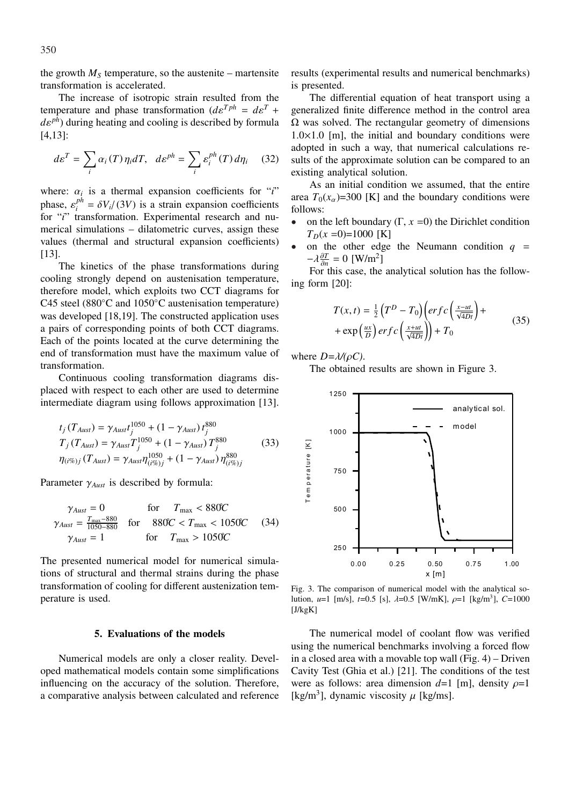the growth  $M<sub>S</sub>$  temperature, so the austenite – martensite transformation is accelerated.

The increase of isotropic strain resulted from the temperature and phase transformation  $(d\varepsilon^{Tph} = d\varepsilon^T +$  $de^{ph}$ ) during heating and cooling is described by formula [4,13]:

$$
d\varepsilon^T = \sum_i \alpha_i(T) \eta_i dT, \quad d\varepsilon^{ph} = \sum_i \varepsilon_i^{ph}(T) d\eta_i \qquad (32)
$$

where:  $\alpha_i$  is a thermal expansion coefficients for "*i*" phase,  $\varepsilon_i^{ph}$  $i^{pn} = \delta V_i / (3V)$  is a strain expansion coefficients for "*i*" transformation. Experimental research and numerical simulations – dilatometric curves, assign these values (thermal and structural expansion coefficients) [13].

The kinetics of the phase transformations during cooling strongly depend on austenisation temperature, therefore model, which exploits two CCT diagrams for C45 steel (880◦C and 1050◦C austenisation temperature) was developed [18,19]. The constructed application uses a pairs of corresponding points of both CCT diagrams. Each of the points located at the curve determining the end of transformation must have the maximum value of transformation.

Continuous cooling transformation diagrams displaced with respect to each other are used to determine intermediate diagram using follows approximation [13].

$$
t_j(T_{Aust}) = \gamma_{Aust} t_j^{1050} + (1 - \gamma_{Aust}) t_j^{880}
$$
  
\n
$$
T_j(T_{Aust}) = \gamma_{Aust} T_j^{1050} + (1 - \gamma_{Aust}) T_j^{880}
$$
  
\n
$$
\eta_{(i\%)j}(T_{Aust}) = \gamma_{Aust} \eta_{(i\%)j}^{1050} + (1 - \gamma_{Aust}) \eta_{(i\%)j}^{880}
$$
\n(33)

Parameter γ*Aust* is described by formula:

$$
\gamma_{Aust} = 0 \qquad \text{for} \qquad T_{\text{max}} < 880^{\circ}\text{C}
$$
\n
$$
\gamma_{Aust} = \frac{T_{\text{max}} - 880}{1050 - 880} \qquad \text{for} \qquad 880^{\circ}\text{C} < T_{\text{max}} < 1050^{\circ}\text{C} \qquad (34)
$$
\n
$$
\gamma_{Aust} = 1 \qquad \qquad \text{for} \qquad T_{\text{max}} > 1050^{\circ}\text{C}
$$

The presented numerical model for numerical simulations of structural and thermal strains during the phase transformation of cooling for different austenization temperature is used.

# **5. Evaluations of the models**

Numerical models are only a closer reality. Developed mathematical models contain some simplifications influencing on the accuracy of the solution. Therefore, a comparative analysis between calculated and reference results (experimental results and numerical benchmarks) is presented.

The differential equation of heat transport using a generalized finite difference method in the control area  $\Omega$  was solved. The rectangular geometry of dimensions  $1.0\times1.0$  [m], the initial and boundary conditions were adopted in such a way, that numerical calculations results of the approximate solution can be compared to an existing analytical solution.

As an initial condition we assumed, that the entire area  $T_0(x_\alpha)$ =300 [K] and the boundary conditions were follows:

- on the left boundary  $(\Gamma, x=0)$  the Dirichlet condition  $T_D(x=0)=1000$  [K]
- on the other edge the Neumann condition  $q =$  $-\lambda \frac{\partial T}{\partial n}$  $\frac{\partial T}{\partial n} = 0$  [W/m<sup>2</sup>]

For this case, the analytical solution has the following form [20]:

$$
T(x,t) = \frac{1}{2} \left( T^D - T_0 \right) \left( erf c \left( \frac{x - ut}{\sqrt{4Dt}} \right) + \exp \left( \frac{ux}{D} \right) erf c \left( \frac{x + ut}{\sqrt{4Dt}} \right) \right) + T_0
$$
\n(35)

where *D=*λ*/(*ρ*C)*.

The obtained results are shown in Figure 3.



Fig. 3. The comparison of numerical model with the analytical solution,  $u=1$  [m/s],  $t=0.5$  [s],  $\lambda=0.5$  [W/mK],  $\rho=1$  [kg/m<sup>3</sup>],  $C=1000$  $[J/kgK]$ 

The numerical model of coolant flow was verified using the numerical benchmarks involving a forced flow in a closed area with a movable top wall  $(Fig. 4)$  – Driven Cavity Test (Ghia et al.) [21]. The conditions of the test were as follows: area dimension  $d=1$  [m], density  $\rho=1$ [kg/m<sup>3</sup>], dynamic viscosity  $\mu$  [kg/ms].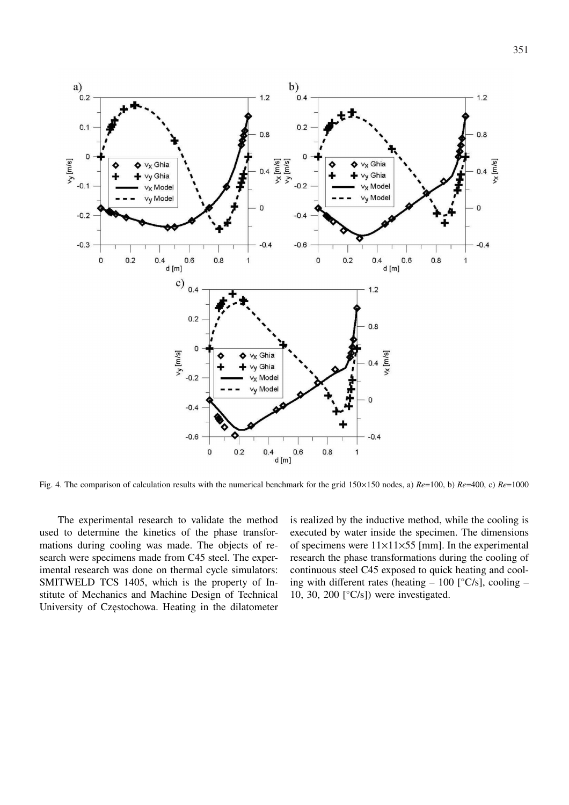

Fig. 4. The comparison of calculation results with the numerical benchmark for the grid 150×150 nodes, a) *Re*=100, b) *Re*=400, c) *Re*=1000

The experimental research to validate the method used to determine the kinetics of the phase transformations during cooling was made. The objects of research were specimens made from C45 steel. The experimental research was done on thermal cycle simulators: SMITWELD TCS 1405, which is the property of Institute of Mechanics and Machine Design of Technical University of Częstochowa. Heating in the dilatometer is realized by the inductive method, while the cooling is executed by water inside the specimen. The dimensions of specimens were  $11\times11\times55$  [mm]. In the experimental research the phase transformations during the cooling of continuous steel C45 exposed to quick heating and cooling with different rates (heating  $-100$  [ $°C/s$ ], cooling  $-$ 10, 30, 200  $\lceil \degree C/s \rceil$  were investigated.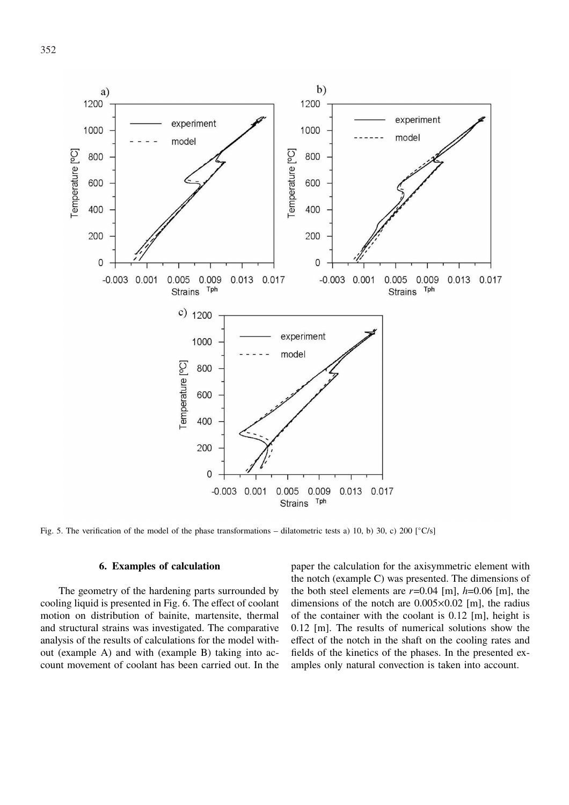

Fig. 5. The verification of the model of the phase transformations – dilatometric tests a) 10, b) 30, c) 200  $[^{\circ}C/s]$ 

## **6. Examples of calculation**

The geometry of the hardening parts surrounded by cooling liquid is presented in Fig. 6. The effect of coolant motion on distribution of bainite, martensite, thermal and structural strains was investigated. The comparative analysis of the results of calculations for the model without (example A) and with (example B) taking into account movement of coolant has been carried out. In the

paper the calculation for the axisymmetric element with the notch (example C) was presented. The dimensions of the both steel elements are  $r=0.04$  [m],  $h=0.06$  [m], the dimensions of the notch are  $0.005 \times 0.02$  [m], the radius of the container with the coolant is 0.12 [m], height is 0.12 [m]. The results of numerical solutions show the effect of the notch in the shaft on the cooling rates and fields of the kinetics of the phases. In the presented examples only natural convection is taken into account.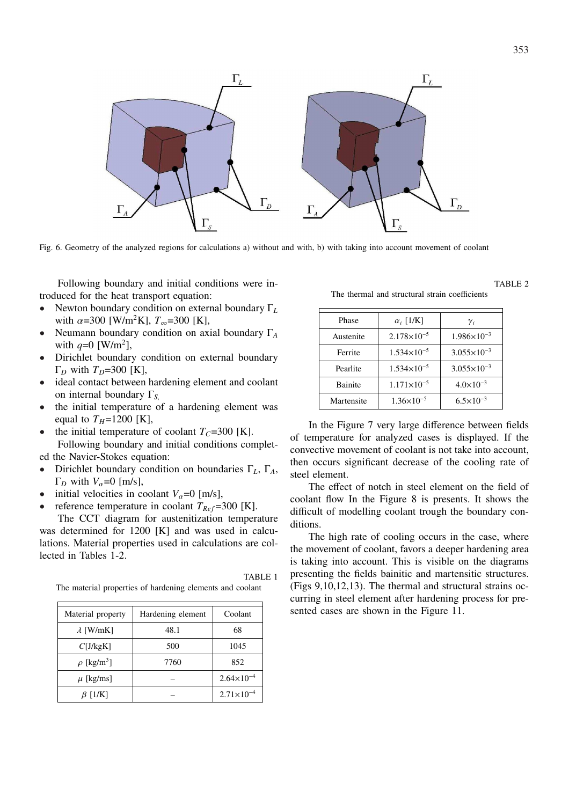

Fig. 6. Geometry of the analyzed regions for calculations a) without and with, b) with taking into account movement of coolant

Following boundary and initial conditions were introduced for the heat transport equation:

- Newton boundary condition on external boundary Γ*<sup>L</sup>* with  $\alpha$ =300 [W/m<sup>2</sup>K],  $T_{\infty}$ =300 [K],
- Neumann boundary condition on axial boundary Γ*<sup>A</sup>* with  $q=0$  [W/m<sup>2</sup>],
- Dirichlet boundary condition on external boundary Γ*<sup>D</sup>* with *TD*=300 [K],
- ideal contact between hardening element and coolant on internal boundary Γ*S*,
- the initial temperature of a hardening element was equal to  $T_H$ =1200 [K],
- the initial temperature of coolant  $T_C$ =300 [K].

Following boundary and initial conditions completed the Navier-Stokes equation:

- Dirichlet boundary condition on boundaries Γ*L*, Γ*A*,  $\Gamma_D$  with  $V_\alpha$ =0 [m/s],
- initial velocities in coolant  $V_\alpha = 0$  [m/s],
- reference temperature in coolant  $T_{Ref}$ =300 [K].

The CCT diagram for austenitization temperature was determined for 1200 [K] and was used in calculations. Material properties used in calculations are collected in Tables 1-2.

The material properties of hardening elements and coolant

| Material property           | Hardening element | Coolant             |
|-----------------------------|-------------------|---------------------|
| $\lambda$ [W/mK]            | 48.1              | 68                  |
| C[J/kgK]                    | 500               | 1045                |
| $\rho$ [kg/m <sup>3</sup> ] | 7760              | 852                 |
| $\mu$ [kg/ms]               |                   | $2.64\times10^{-4}$ |
| $\beta$ [1/K]               |                   | $2.71\times10^{-4}$ |

TABLE 1

The thermal and structural strain coefficients

| Phase          | $\alpha_i$ [1/K]     | $\gamma_i$           |
|----------------|----------------------|----------------------|
| Austenite      | $2.178\times10^{-5}$ | $1.986\times10^{-3}$ |
| Ferrite        | $1.534\times10^{-5}$ | $3.055\times10^{-3}$ |
| Pearlite       | $1.534\times10^{-5}$ | $3.055\times10^{-3}$ |
| <b>Bainite</b> | $1.171\times10^{-5}$ | $4.0\times10^{-3}$   |
| Martensite     | $1.36\times10^{-5}$  | $6.5 \times 10^{-3}$ |

In the Figure 7 very large difference between fields of temperature for analyzed cases is displayed. If the convective movement of coolant is not take into account, then occurs significant decrease of the cooling rate of steel element.

The effect of notch in steel element on the field of coolant flow In the Figure 8 is presents. It shows the difficult of modelling coolant trough the boundary conditions.

The high rate of cooling occurs in the case, where the movement of coolant, favors a deeper hardening area is taking into account. This is visible on the diagrams presenting the fields bainitic and martensitic structures. (Figs 9,10,12,13). The thermal and structural strains occurring in steel element after hardening process for presented cases are shown in the Figure 11.

TABLE 2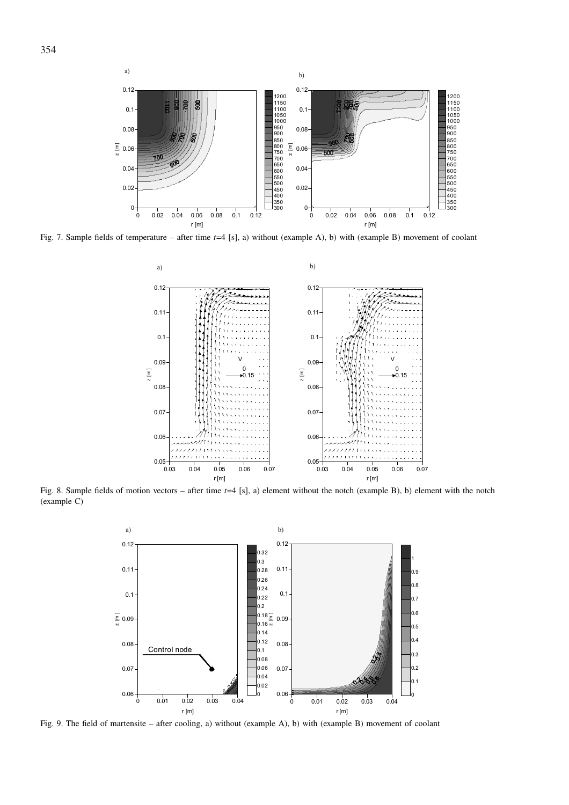

Fig. 7. Sample fields of temperature – after time *t*=4 [s], a) without (example A), b) with (example B) movement of coolant



Fig. 8. Sample fields of motion vectors – after time *t*=4 [s], a) element without the notch (example B), b) element with the notch (example C)



Fig. 9. The field of martensite – after cooling, a) without (example A), b) with (example B) movement of coolant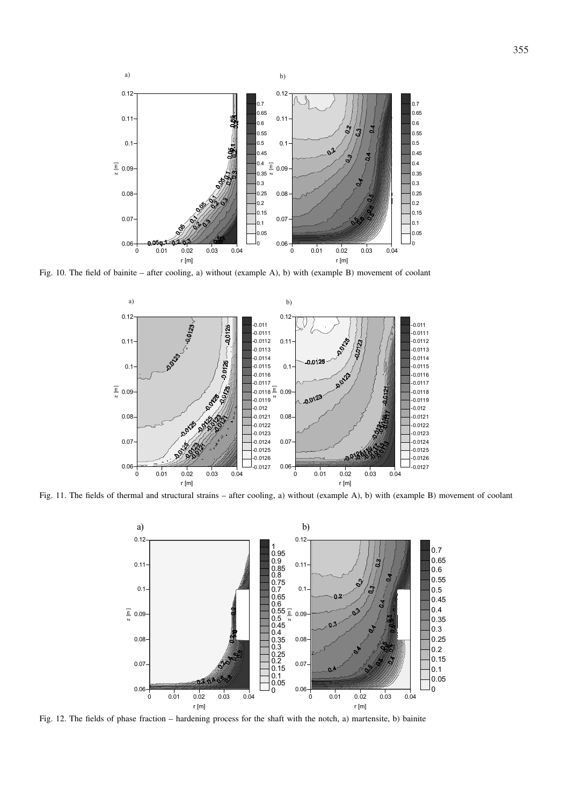

Fig. 10. The field of bainite – after cooling, a) without (example A), b) with (example B) movement of coolant



Fig. 11. The fields of thermal and structural strains – after cooling, a) without (example A), b) with (example B) movement of coolant



Fig. 12. The fields of phase fraction – hardening process for the shaft with the notch, a) martensite, b) bainite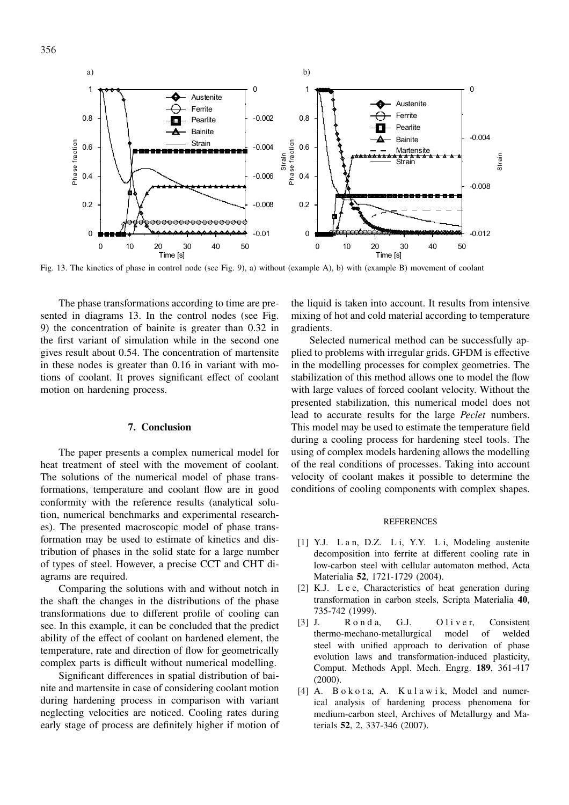356



Fig. 13. The kinetics of phase in control node (see Fig. 9), a) without (example A), b) with (example B) movement of coolant

The phase transformations according to time are presented in diagrams 13. In the control nodes (see Fig. 9) the concentration of bainite is greater than 0.32 in the first variant of simulation while in the second one gives result about 0.54. The concentration of martensite in these nodes is greater than 0.16 in variant with motions of coolant. It proves significant effect of coolant motion on hardening process.

## **7. Conclusion**

The paper presents a complex numerical model for heat treatment of steel with the movement of coolant. The solutions of the numerical model of phase transformations, temperature and coolant flow are in good conformity with the reference results (analytical solution, numerical benchmarks and experimental researches). The presented macroscopic model of phase transformation may be used to estimate of kinetics and distribution of phases in the solid state for a large number of types of steel. However, a precise CCT and CHT diagrams are required.

Comparing the solutions with and without notch in the shaft the changes in the distributions of the phase transformations due to different profile of cooling can see. In this example, it can be concluded that the predict ability of the effect of coolant on hardened element, the temperature, rate and direction of flow for geometrically complex parts is difficult without numerical modelling.

Significant differences in spatial distribution of bainite and martensite in case of considering coolant motion during hardening process in comparison with variant neglecting velocities are noticed. Cooling rates during early stage of process are definitely higher if motion of the liquid is taken into account. It results from intensive mixing of hot and cold material according to temperature gradients.

Selected numerical method can be successfully applied to problems with irregular grids. GFDM is effective in the modelling processes for complex geometries. The stabilization of this method allows one to model the flow with large values of forced coolant velocity. Without the presented stabilization, this numerical model does not lead to accurate results for the large *Peclet* numbers. This model may be used to estimate the temperature field during a cooling process for hardening steel tools. The using of complex models hardening allows the modelling of the real conditions of processes. Taking into account velocity of coolant makes it possible to determine the conditions of cooling components with complex shapes.

#### **REFERENCES**

- [1] Y.J. L a n, D.Z. L i, Y.Y. L i, Modeling austenite decomposition into ferrite at different cooling rate in low-carbon steel with cellular automaton method, Acta Materialia **52**, 1721-1729 (2004).
- [2] K.J. Lee, Characteristics of heat generation during transformation in carbon steels, Scripta Materialia **40**, 735-742 (1999).
- [3] J. R o n d a, G.J. O l i v e r, Consistent thermo-mechano-metallurgical model of welded steel with unified approach to derivation of phase evolution laws and transformation-induced plasticity, Comput. Methods Appl. Mech. Engrg. **189**, 361-417 (2000).
- [4] A. B o k o t a, A. K u l a w i k, Model and numerical analysis of hardening process phenomena for medium-carbon steel, Archives of Metallurgy and Materials **52**, 2, 337-346 (2007).